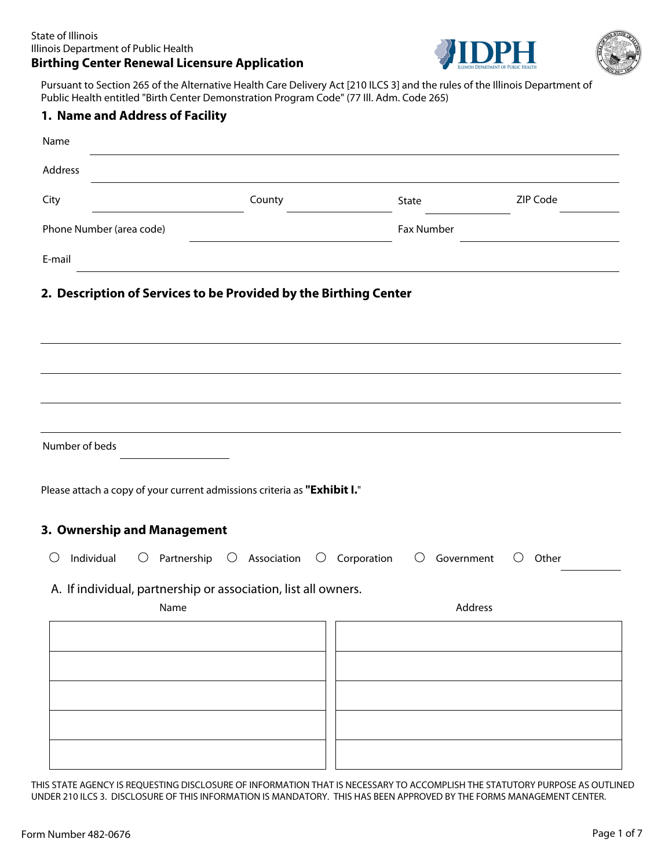



Pursuant to Section 265 of the Alternative Health Care Delivery Act [210 ILCS 3] and the rules of the Illinois Department of Public Health entitled "Birth Center Demonstration Program Code" (77 Ill. Adm. Code 265)

| 1. Name and Address of Facility                                          |                                                             |                          |                           |
|--------------------------------------------------------------------------|-------------------------------------------------------------|--------------------------|---------------------------|
| Name                                                                     |                                                             |                          |                           |
| Address                                                                  |                                                             |                          |                           |
| City                                                                     | County                                                      | State                    | ZIP Code                  |
| Phone Number (area code)                                                 |                                                             | Fax Number               |                           |
| E-mail                                                                   |                                                             |                          |                           |
| 2. Description of Services to be Provided by the Birthing Center         |                                                             |                          |                           |
|                                                                          |                                                             |                          |                           |
| Number of beds                                                           |                                                             |                          |                           |
| Please attach a copy of your current admissions criteria as "Exhibit I." |                                                             |                          |                           |
| 3. Ownership and Management                                              |                                                             |                          |                           |
| Individual<br>$\bigcirc$                                                 | $\circ$ Partnership $\circ$ Association $\circ$ Corporation | Government<br>$\bigcirc$ | Other<br>$\left( \right)$ |
| A. If individual, partnership or association, list all owners.<br>Name   |                                                             | Address                  |                           |
|                                                                          |                                                             |                          |                           |
|                                                                          |                                                             |                          |                           |
|                                                                          |                                                             |                          |                           |
|                                                                          |                                                             |                          |                           |
|                                                                          |                                                             |                          |                           |
|                                                                          |                                                             |                          |                           |

THIS STATE AGENCY IS REQUESTING DISCLOSURE OF INFORMATION THAT IS NECESSARY TO ACCOMPLISH THE STATUTORY PURPOSE AS OUTLINED UNDER 210 ILCS 3. DISCLOSURE OF THIS INFORMATION IS MANDATORY. THIS HAS BEEN APPROVED BY THE FORMS MANAGEMENT CENTER.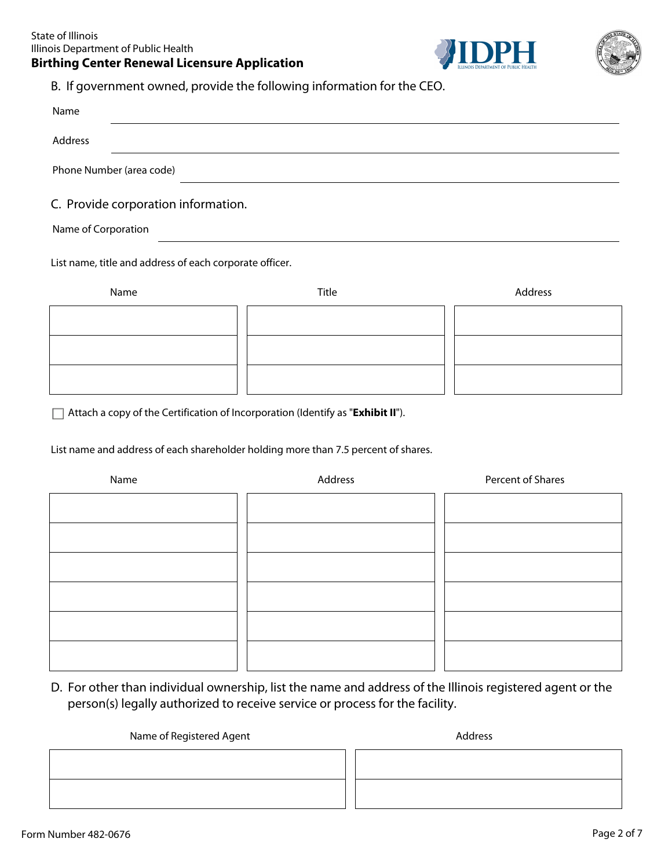



B. If government owned, provide the following information for the CEO.

| Name                                                                            |       |         |
|---------------------------------------------------------------------------------|-------|---------|
| Address                                                                         |       |         |
| Phone Number (area code)                                                        |       |         |
| C. Provide corporation information.<br>Name of Corporation                      |       |         |
| List name, title and address of each corporate officer.                         |       |         |
| Name                                                                            | Title | Address |
|                                                                                 |       |         |
| Attach a copy of the Certification of Incorporation (Identify as "Exhibit II"). |       |         |

List name and address of each shareholder holding more than 7.5 percent of shares.

| Name | Address | Percent of Shares |
|------|---------|-------------------|
|      |         |                   |
|      |         |                   |
|      |         |                   |
|      |         |                   |
|      |         |                   |
|      |         |                   |

D. For other than individual ownership, list the name and address of the Illinois registered agent or the person(s) legally authorized to receive service or process for the facility.

#### Name of Registered Agent Address and Address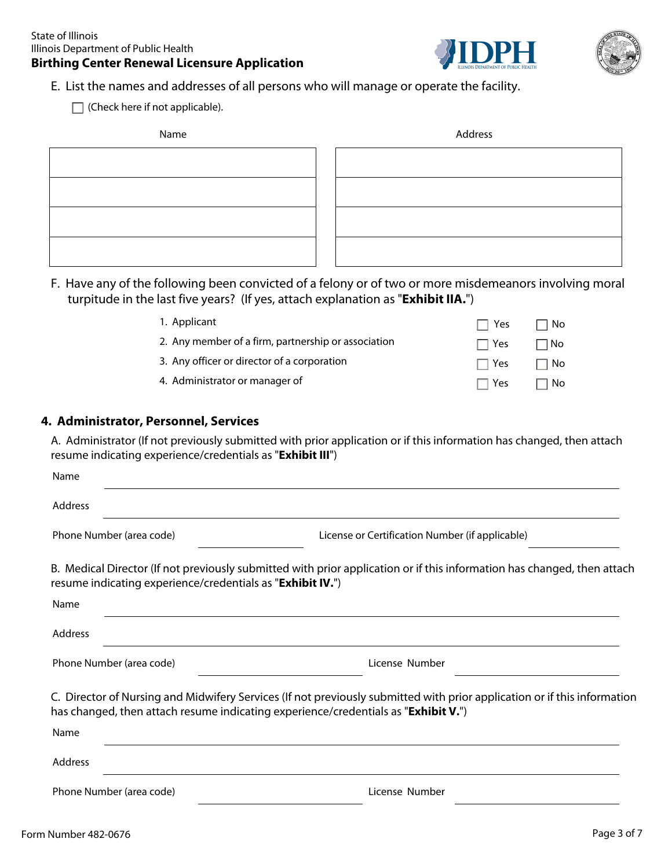



- E. List the names and addresses of all persons who will manage or operate the facility.
	- $\Box$  (Check here if not applicable).

| Name | Address |
|------|---------|
|      |         |
|      |         |
|      |         |
|      |         |

F. Have any of the following been convicted of a felony or of two or more misdemeanors involving moral turpitude in the last five years? (If yes, attach explanation as "**Exhibit IIA.**")

| 1. Applicant                                        | $\Box$ Yes $\Box$ No |           |
|-----------------------------------------------------|----------------------|-----------|
| 2. Any member of a firm, partnership or association | $\Box$ Yes           | ⊟ No      |
| 3. Any officer or director of a corporation         | $\Box$ Yes           | $\Box$ No |
| 4. Administrator or manager of                      | $\Box$ Yes           | $\Box$ No |

## **4. Administrator, Personnel, Services**

A. Administrator (If not previously submitted with prior application or if this information has changed, then attach resume indicating experience/credentials as "**Exhibit III**")

| Name                                                                                                                                                                                                           |                                                 |
|----------------------------------------------------------------------------------------------------------------------------------------------------------------------------------------------------------------|-------------------------------------------------|
| Address                                                                                                                                                                                                        |                                                 |
| Phone Number (area code)                                                                                                                                                                                       | License or Certification Number (if applicable) |
| B. Medical Director (If not previously submitted with prior application or if this information has changed, then attach<br>resume indicating experience/credentials as " <b>Exhibit IV.</b> ")                 |                                                 |
| Name                                                                                                                                                                                                           |                                                 |
| Address                                                                                                                                                                                                        |                                                 |
| Phone Number (area code)                                                                                                                                                                                       | License Number                                  |
| C. Director of Nursing and Midwifery Services (If not previously submitted with prior application or if this information<br>has changed, then attach resume indicating experience/credentials as "Exhibit V.") |                                                 |
| Name                                                                                                                                                                                                           |                                                 |
| Address                                                                                                                                                                                                        |                                                 |
| Phone Number (area code)                                                                                                                                                                                       | License Number                                  |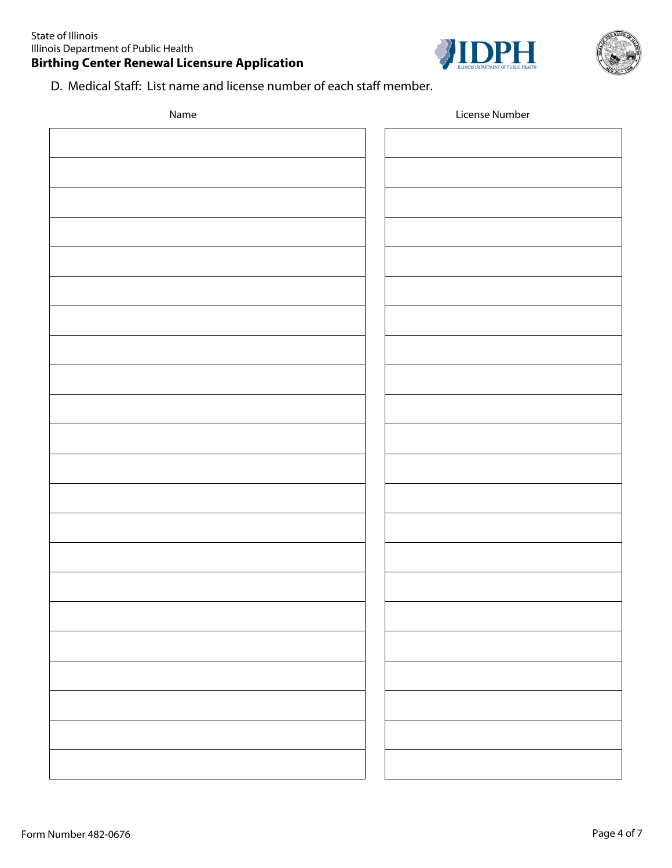



D. Medical Staff: List name and license number of each staff member.

| Name | License Number |
|------|----------------|
|      |                |
|      |                |
|      |                |
|      |                |
|      |                |
|      |                |
|      |                |
|      |                |
|      |                |
|      |                |
|      |                |
|      |                |
|      |                |
|      |                |
|      |                |
|      |                |
|      |                |
|      |                |
|      |                |
|      |                |
|      |                |
|      |                |
|      |                |
|      |                |
|      |                |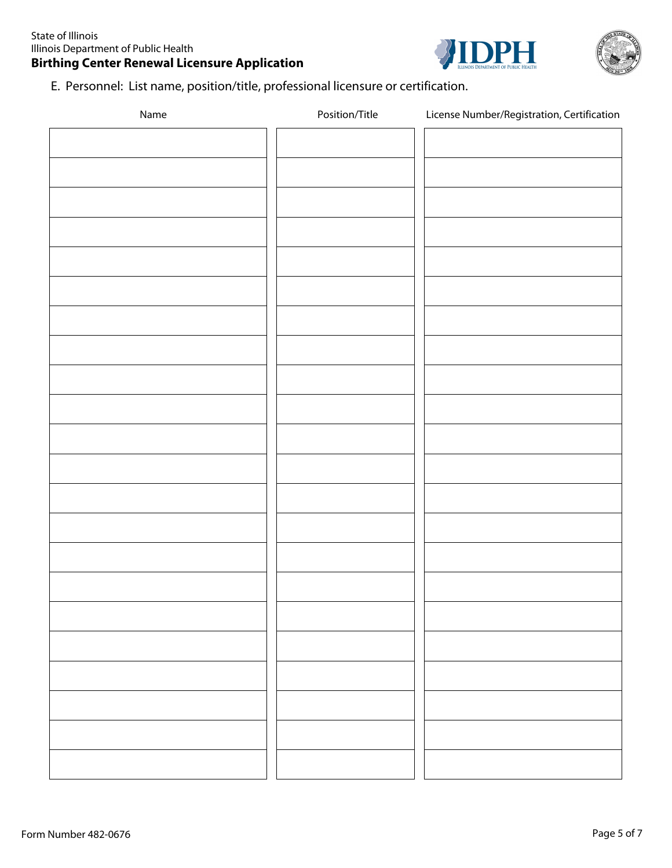



E. Personnel: List name, position/title, professional licensure or certification.

| Name | Position/Title | License Number/Registration, Certification |
|------|----------------|--------------------------------------------|
|      |                |                                            |
|      |                |                                            |
|      |                |                                            |
|      |                |                                            |
|      |                |                                            |
|      |                |                                            |
|      |                |                                            |
|      |                |                                            |
|      |                |                                            |
|      |                |                                            |
|      |                |                                            |
|      |                |                                            |
|      |                |                                            |
|      |                |                                            |
|      |                |                                            |
|      |                |                                            |
|      |                |                                            |
|      |                |                                            |
|      |                |                                            |
|      |                |                                            |
|      |                |                                            |
|      |                |                                            |
|      |                |                                            |
|      |                |                                            |
|      |                |                                            |
|      |                |                                            |
|      |                |                                            |
|      |                |                                            |
|      |                |                                            |
|      |                |                                            |
|      |                |                                            |
|      |                |                                            |
|      |                |                                            |
|      |                |                                            |
|      |                |                                            |
|      |                |                                            |
|      |                |                                            |
|      |                |                                            |
|      |                |                                            |
|      |                |                                            |
|      |                |                                            |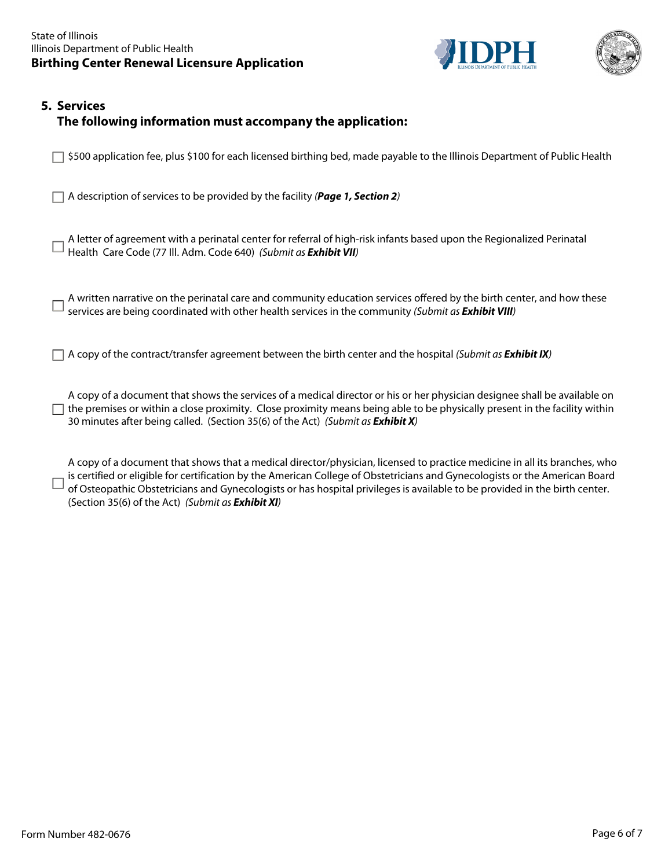



# **5. Services The following information must accompany the application:**

□ \$500 application fee, plus \$100 for each licensed birthing bed, made payable to the Illinois Department of Public Health

A description of services to be provided by the facility *(Page 1, Section 2)*

A letter of agreement with a perinatal center for referral of high-risk infants based upon the Regionalized Perinatal Health Care Code (77 Ill. Adm. Code 640) *(Submit as Exhibit VII)*

A written narrative on the perinatal care and community education services offered by the birth center, and how these services are being coordinated with other health services in the community *(Submit as Exhibit VIII)*

 $\Box$  A copy of the contract/transfer agreement between the birth center and the hospital *(Submit as Exhibit IX)* 

A copy of a document that shows the services of a medical director or his or her physician designee shall be available on  $\Box$  the premises or within a close proximity. Close proximity means being able to be physically present in the facility within 30 minutes after being called. (Section 35(6) of the Act) *(Submit as Exhibit X)*

A copy of a document that shows that a medical director/physician, licensed to practice medicine in all its branches, who is certified or eligible for certification by the American College of Obstetricians and Gynecologists or the American Board of Osteopathic Obstetricians and Gynecologists or has hospital privileges is available to be provided in the birth center. (Section 35(6) of the Act) *(Submit as Exhibit XI)*